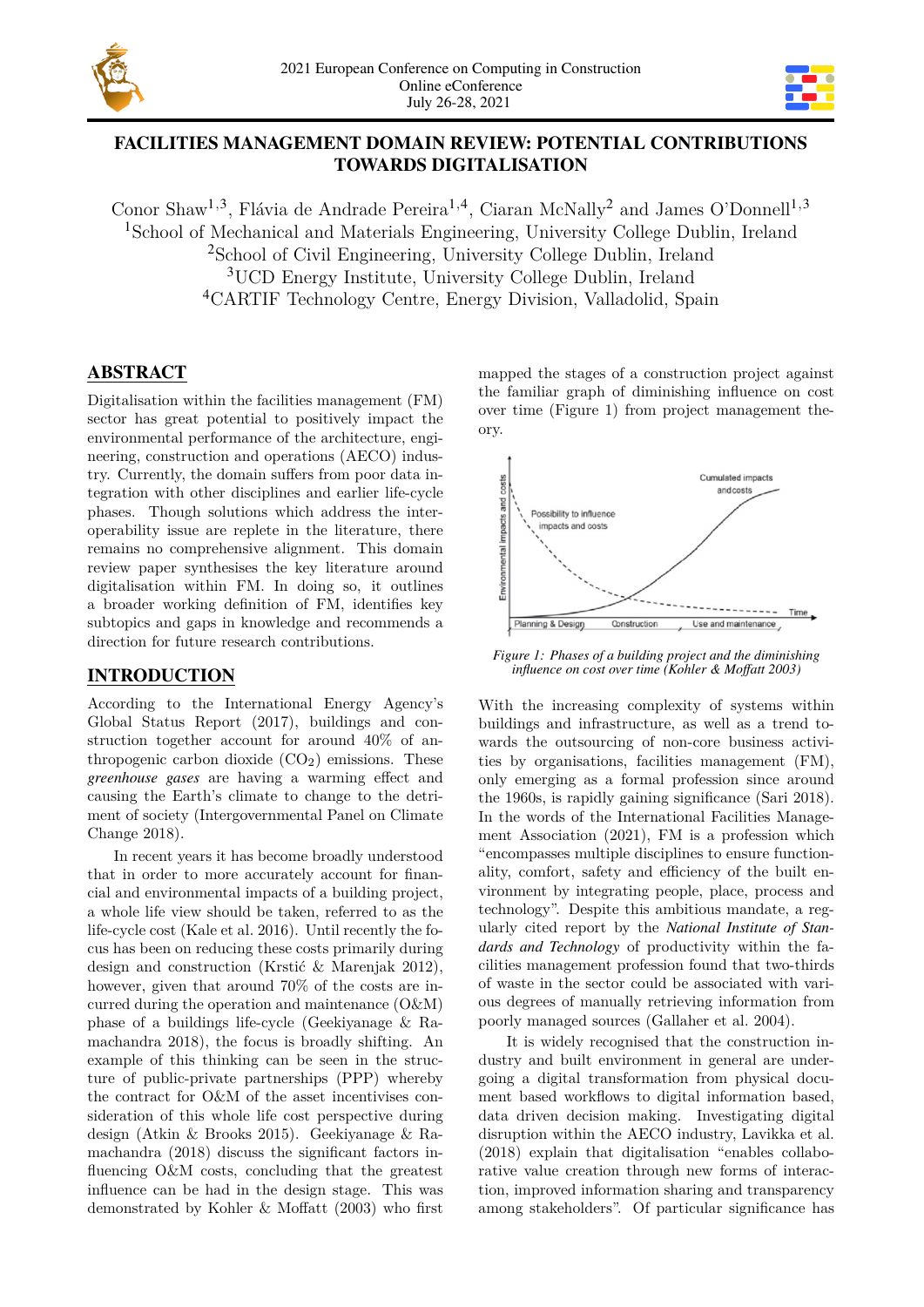



# **FACILITIES MANAGEMENT DOMAIN REVIEW: POTENTIAL CONTRIBUTIONS TOWARDS DIGITALISATION**

Conor Shaw<sup>1,3</sup>, Flávia de Andrade Pereira<sup>1,4</sup>, Ciaran McNally<sup>2</sup> and James O'Donnell<sup>1,3</sup> School of Mechanical and Materials Engineering, University College Dublin, Ireland School of Civil Engineering, University College Dublin, Ireland UCD Energy Institute, University College Dublin, Ireland CARTIF Technology Centre, Energy Division, Valladolid, Spain

# **ABSTRACT**

Digitalisation within the facilities management (FM) sector has great potential to positively impact the environmental performance of the architecture, engineering, construction and operations (AECO) industry. Currently, the domain suffers from poor data integration with other disciplines and earlier life-cycle phases. Though solutions which address the interoperability issue are replete in the literature, there remains no comprehensive alignment. This domain review paper synthesises the key literature around digitalisation within FM. In doing so, it outlines a broader working definition of FM, identifies key subtopics and gaps in knowledge and recommends a direction for future research contributions.

# **INTRODUCTION**

According to the International Energy Agency's Global Status Report (2017), buildings and construction together account for around 40% of anthropogenic carbon dioxide  $(CO<sub>2</sub>)$  emissions. These *greenhouse gases* are having a warming effect and causing the Earth's climate to change to the detriment of society (Intergovernmental Panel on Climate Change 2018).

In recent years it has become broadly understood that in order to more accurately account for financial and environmental impacts of a building project, a whole life view should be taken, referred to as the life-cycle cost (Kale et al. 2016). Until recently the focus has been on reducing these costs primarily during design and construction (Krstić & Marenjak 2012), however, given that around 70% of the costs are incurred during the operation and maintenance (O&M) phase of a buildings life-cycle (Geekiyanage & Ramachandra 2018), the focus is broadly shifting. An example of this thinking can be seen in the structure of public-private partnerships (PPP) whereby the contract for O&M of the asset incentivises consideration of this whole life cost perspective during design (Atkin & Brooks 2015). Geekiyanage & Ramachandra (2018) discuss the significant factors influencing O&M costs, concluding that the greatest influence can be had in the design stage. This was demonstrated by Kohler & Moffatt (2003) who first mapped the stages of a construction project against the familiar graph of diminishing influence on cost over time (Figure 1) from project management theory.



*Figure 1: Phases of a building project and the diminishing influence on cost over time (Kohler & Moffatt 2003)*

With the increasing complexity of systems within buildings and infrastructure, as well as a trend towards the outsourcing of non-core business activities by organisations, facilities management (FM), only emerging as a formal profession since around the 1960s, is rapidly gaining significance (Sari 2018). In the words of the International Facilities Management Association (2021), FM is a profession which "encompasses multiple disciplines to ensure functionality, comfort, safety and efficiency of the built environment by integrating people, place, process and technology". Despite this ambitious mandate, a regularly cited report by the *National Institute of Standards and Technology* of productivity within the facilities management profession found that two-thirds of waste in the sector could be associated with various degrees of manually retrieving information from poorly managed sources (Gallaher et al. 2004).

It is widely recognised that the construction industry and built environment in general are undergoing a digital transformation from physical document based workflows to digital information based, data driven decision making. Investigating digital disruption within the AECO industry, Lavikka et al. (2018) explain that digitalisation "enables collaborative value creation through new forms of interaction, improved information sharing and transparency among stakeholders". Of particular significance has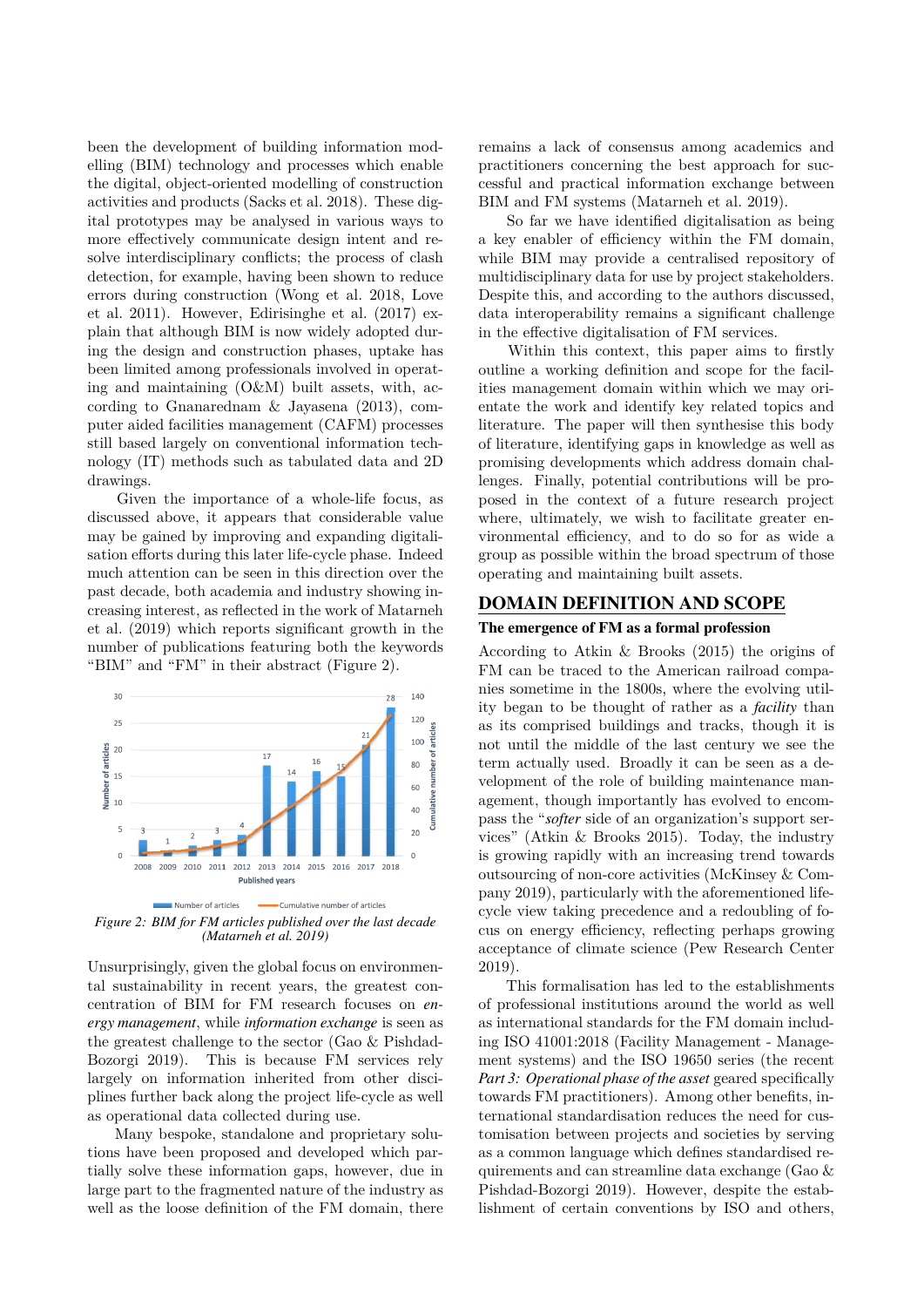been the development of building information modelling (BIM) technology and processes which enable the digital, object-oriented modelling of construction activities and products (Sacks et al. 2018). These digital prototypes may be analysed in various ways to more effectively communicate design intent and resolve interdisciplinary conflicts; the process of clash detection, for example, having been shown to reduce errors during construction (Wong et al. 2018, Love et al. 2011). However, Edirisinghe et al. (2017) explain that although BIM is now widely adopted during the design and construction phases, uptake has been limited among professionals involved in operating and maintaining (O&M) built assets, with, according to Gnanarednam & Jayasena (2013), computer aided facilities management (CAFM) processes still based largely on conventional information technology (IT) methods such as tabulated data and 2D drawings.

Given the importance of a whole-life focus, as discussed above, it appears that considerable value may be gained by improving and expanding digitalisation efforts during this later life-cycle phase. Indeed much attention can be seen in this direction over the past decade, both academia and industry showing increasing interest, as reflected in the work of Matarneh et al. (2019) which reports significant growth in the number of publications featuring both the keywords "BIM" and "FM" in their abstract (Figure 2).



*Figure 2: BIM for FM articles published over the last decade (Matarneh et al. 2019)*

Unsurprisingly, given the global focus on environmental sustainability in recent years, the greatest concentration of BIM for FM research focuses on *energy management*, while *information exchange* is seen as the greatest challenge to the sector (Gao & Pishdad-Bozorgi 2019). This is because FM services rely largely on information inherited from other disciplines further back along the project life-cycle as well as operational data collected during use.

Many bespoke, standalone and proprietary solutions have been proposed and developed which partially solve these information gaps, however, due in large part to the fragmented nature of the industry as well as the loose definition of the FM domain, there remains a lack of consensus among academics and practitioners concerning the best approach for successful and practical information exchange between BIM and FM systems (Matarneh et al. 2019).

So far we have identified digitalisation as being a key enabler of efficiency within the FM domain, while BIM may provide a centralised repository of multidisciplinary data for use by project stakeholders. Despite this, and according to the authors discussed, data interoperability remains a significant challenge in the effective digitalisation of FM services.

Within this context, this paper aims to firstly outline a working definition and scope for the facilities management domain within which we may orientate the work and identify key related topics and literature. The paper will then synthesise this body of literature, identifying gaps in knowledge as well as promising developments which address domain challenges. Finally, potential contributions will be proposed in the context of a future research project where, ultimately, we wish to facilitate greater environmental efficiency, and to do so for as wide a group as possible within the broad spectrum of those operating and maintaining built assets.

### **DOMAIN DEFINITION AND SCOPE**

### **The emergence of FM as a formal profession**

According to Atkin & Brooks (2015) the origins of FM can be traced to the American railroad companies sometime in the 1800s, where the evolving utility began to be thought of rather as a *facility* than as its comprised buildings and tracks, though it is not until the middle of the last century we see the term actually used. Broadly it can be seen as a development of the role of building maintenance management, though importantly has evolved to encompass the "*softer* side of an organization's support services" (Atkin & Brooks 2015). Today, the industry is growing rapidly with an increasing trend towards outsourcing of non-core activities (McKinsey & Company 2019), particularly with the aforementioned lifecycle view taking precedence and a redoubling of focus on energy efficiency, reflecting perhaps growing acceptance of climate science (Pew Research Center 2019).

This formalisation has led to the establishments of professional institutions around the world as well as international standards for the FM domain including ISO 41001:2018 (Facility Management - Management systems) and the ISO 19650 series (the recent *Part 3: Operational phase of the asset* geared specifically towards FM practitioners). Among other benefits, international standardisation reduces the need for customisation between projects and societies by serving as a common language which defines standardised requirements and can streamline data exchange (Gao & Pishdad-Bozorgi 2019). However, despite the establishment of certain conventions by ISO and others,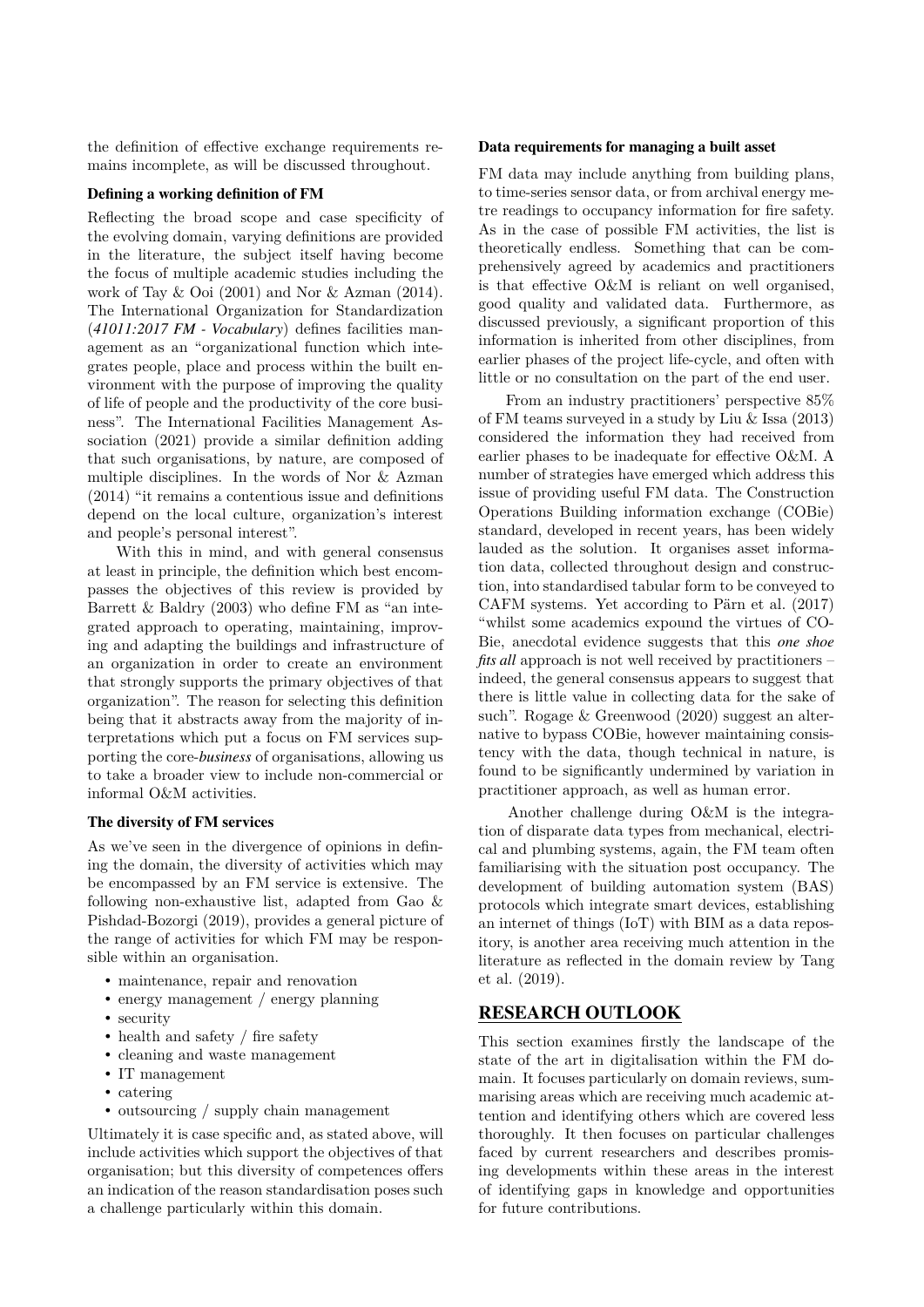the definition of effective exchange requirements remains incomplete, as will be discussed throughout.

#### **Defining a working definition of FM**

Reflecting the broad scope and case specificity of the evolving domain, varying definitions are provided in the literature, the subject itself having become the focus of multiple academic studies including the work of Tay & Ooi (2001) and Nor & Azman (2014). The International Organization for Standardization (*41011:2017 FM - Vocabulary*) defines facilities management as an "organizational function which integrates people, place and process within the built environment with the purpose of improving the quality of life of people and the productivity of the core business". The International Facilities Management Association (2021) provide a similar definition adding that such organisations, by nature, are composed of multiple disciplines. In the words of Nor & Azman (2014) "it remains a contentious issue and definitions depend on the local culture, organization's interest and people's personal interest".

With this in mind, and with general consensus at least in principle, the definition which best encompasses the objectives of this review is provided by Barrett & Baldry (2003) who define FM as "an integrated approach to operating, maintaining, improving and adapting the buildings and infrastructure of an organization in order to create an environment that strongly supports the primary objectives of that organization". The reason for selecting this definition being that it abstracts away from the majority of interpretations which put a focus on FM services supporting the core-*business* of organisations, allowing us to take a broader view to include non-commercial or informal O&M activities.

#### **The diversity of FM services**

As we've seen in the divergence of opinions in defining the domain, the diversity of activities which may be encompassed by an FM service is extensive. The following non-exhaustive list, adapted from Gao & Pishdad-Bozorgi (2019), provides a general picture of the range of activities for which FM may be responsible within an organisation.

- maintenance, repair and renovation
- energy management / energy planning
- security
- health and safety / fire safety
- cleaning and waste management
- IT management
- catering
- outsourcing / supply chain management

Ultimately it is case specific and, as stated above, will include activities which support the objectives of that organisation; but this diversity of competences offers an indication of the reason standardisation poses such a challenge particularly within this domain.

#### **Data requirements for managing a built asset**

FM data may include anything from building plans, to time-series sensor data, or from archival energy metre readings to occupancy information for fire safety. As in the case of possible FM activities, the list is theoretically endless. Something that can be comprehensively agreed by academics and practitioners is that effective O&M is reliant on well organised, good quality and validated data. Furthermore, as discussed previously, a significant proportion of this information is inherited from other disciplines, from earlier phases of the project life-cycle, and often with little or no consultation on the part of the end user.

From an industry practitioners' perspective 85% of FM teams surveyed in a study by Liu & Issa (2013) considered the information they had received from earlier phases to be inadequate for effective O&M. A number of strategies have emerged which address this issue of providing useful FM data. The Construction Operations Building information exchange (COBie) standard, developed in recent years, has been widely lauded as the solution. It organises asset information data, collected throughout design and construction, into standardised tabular form to be conveyed to CAFM systems. Yet according to Pärn et al. (2017) "whilst some academics expound the virtues of CO-Bie, anecdotal evidence suggests that this *one shoe fits all* approach is not well received by practitioners – indeed, the general consensus appears to suggest that there is little value in collecting data for the sake of such". Rogage & Greenwood (2020) suggest an alternative to bypass COBie, however maintaining consistency with the data, though technical in nature, is found to be significantly undermined by variation in practitioner approach, as well as human error.

Another challenge during O&M is the integration of disparate data types from mechanical, electrical and plumbing systems, again, the FM team often familiarising with the situation post occupancy. The development of building automation system (BAS) protocols which integrate smart devices, establishing an internet of things (IoT) with BIM as a data repository, is another area receiving much attention in the literature as reflected in the domain review by Tang et al. (2019).

### **RESEARCH OUTLOOK**

This section examines firstly the landscape of the state of the art in digitalisation within the FM domain. It focuses particularly on domain reviews, summarising areas which are receiving much academic attention and identifying others which are covered less thoroughly. It then focuses on particular challenges faced by current researchers and describes promising developments within these areas in the interest of identifying gaps in knowledge and opportunities for future contributions.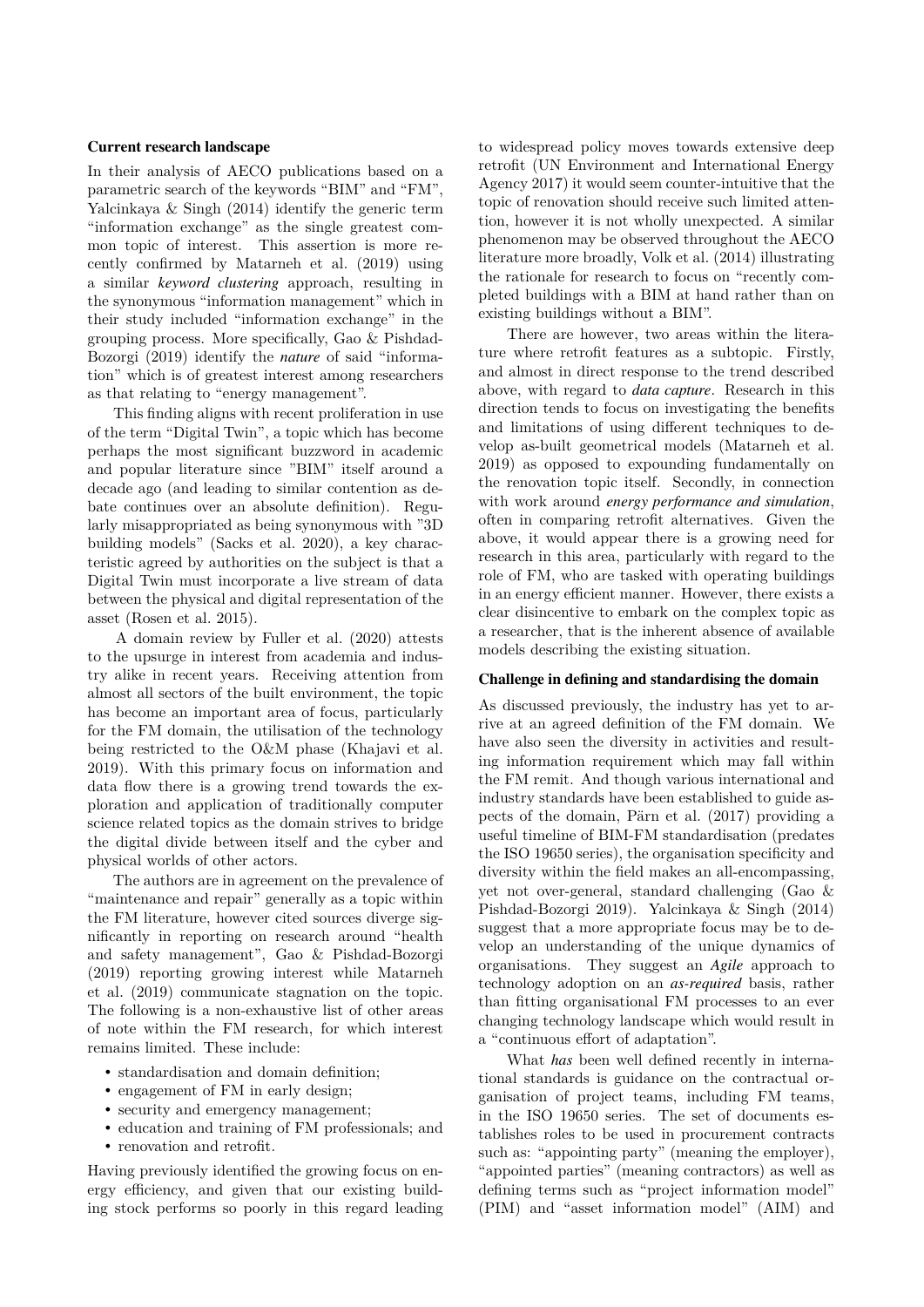#### **Current research landscape**

In their analysis of AECO publications based on a parametric search of the keywords "BIM" and "FM", Yalcinkaya & Singh (2014) identify the generic term "information exchange" as the single greatest common topic of interest. This assertion is more recently confirmed by Matarneh et al. (2019) using a similar *keyword clustering* approach, resulting in the synonymous "information management" which in their study included "information exchange" in the grouping process. More specifically, Gao & Pishdad-Bozorgi (2019) identify the *nature* of said "information" which is of greatest interest among researchers as that relating to "energy management".

This finding aligns with recent proliferation in use of the term "Digital Twin", a topic which has become perhaps the most significant buzzword in academic and popular literature since "BIM" itself around a decade ago (and leading to similar contention as debate continues over an absolute definition). Regularly misappropriated as being synonymous with "3D building models" (Sacks et al. 2020), a key characteristic agreed by authorities on the subject is that a Digital Twin must incorporate a live stream of data between the physical and digital representation of the asset (Rosen et al. 2015).

A domain review by Fuller et al. (2020) attests to the upsurge in interest from academia and industry alike in recent years. Receiving attention from almost all sectors of the built environment, the topic has become an important area of focus, particularly for the FM domain, the utilisation of the technology being restricted to the O&M phase (Khajavi et al. 2019). With this primary focus on information and data flow there is a growing trend towards the exploration and application of traditionally computer science related topics as the domain strives to bridge the digital divide between itself and the cyber and physical worlds of other actors.

The authors are in agreement on the prevalence of "maintenance and repair" generally as a topic within the FM literature, however cited sources diverge significantly in reporting on research around "health and safety management", Gao & Pishdad-Bozorgi (2019) reporting growing interest while Matarneh et al. (2019) communicate stagnation on the topic. The following is a non-exhaustive list of other areas of note within the FM research, for which interest remains limited. These include:

- standardisation and domain definition;
- engagement of FM in early design;
- security and emergency management;
- education and training of FM professionals; and
- renovation and retrofit.

Having previously identified the growing focus on energy efficiency, and given that our existing building stock performs so poorly in this regard leading to widespread policy moves towards extensive deep retrofit (UN Environment and International Energy Agency 2017) it would seem counter-intuitive that the topic of renovation should receive such limited attention, however it is not wholly unexpected. A similar phenomenon may be observed throughout the AECO literature more broadly, Volk et al. (2014) illustrating the rationale for research to focus on "recently completed buildings with a BIM at hand rather than on existing buildings without a BIM".

There are however, two areas within the literature where retrofit features as a subtopic. Firstly, and almost in direct response to the trend described above, with regard to *data capture*. Research in this direction tends to focus on investigating the benefits and limitations of using different techniques to develop as-built geometrical models (Matarneh et al. 2019) as opposed to expounding fundamentally on the renovation topic itself. Secondly, in connection with work around *energy performance and simulation*, often in comparing retrofit alternatives. Given the above, it would appear there is a growing need for research in this area, particularly with regard to the role of FM, who are tasked with operating buildings in an energy efficient manner. However, there exists a clear disincentive to embark on the complex topic as a researcher, that is the inherent absence of available models describing the existing situation.

#### **Challenge in defining and standardising the domain**

As discussed previously, the industry has yet to arrive at an agreed definition of the FM domain. We have also seen the diversity in activities and resulting information requirement which may fall within the FM remit. And though various international and industry standards have been established to guide aspects of the domain, Pärn et al. (2017) providing a useful timeline of BIM-FM standardisation (predates the ISO 19650 series), the organisation specificity and diversity within the field makes an all-encompassing, yet not over-general, standard challenging (Gao & Pishdad-Bozorgi 2019). Yalcinkaya & Singh (2014) suggest that a more appropriate focus may be to develop an understanding of the unique dynamics of organisations. They suggest an *Agile* approach to technology adoption on an *as-required* basis, rather than fitting organisational FM processes to an ever changing technology landscape which would result in a "continuous effort of adaptation".

What *has* been well defined recently in international standards is guidance on the contractual organisation of project teams, including FM teams, in the ISO 19650 series. The set of documents establishes roles to be used in procurement contracts such as: "appointing party" (meaning the employer), "appointed parties" (meaning contractors) as well as defining terms such as "project information model" (PIM) and "asset information model" (AIM) and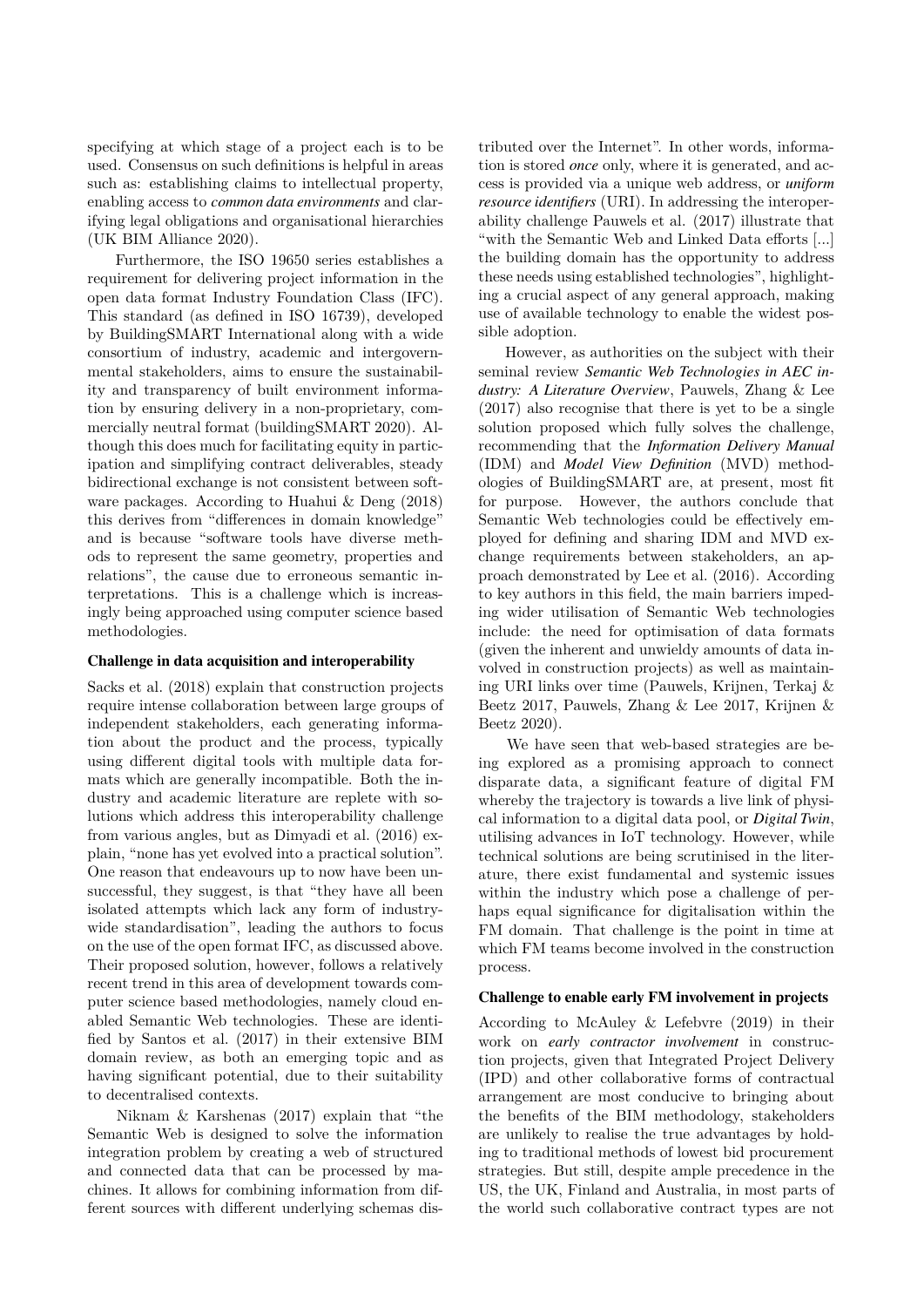specifying at which stage of a project each is to be used. Consensus on such definitions is helpful in areas such as: establishing claims to intellectual property, enabling access to *common data environments* and clarifying legal obligations and organisational hierarchies (UK BIM Alliance 2020).

Furthermore, the ISO 19650 series establishes a requirement for delivering project information in the open data format Industry Foundation Class (IFC). This standard (as defined in ISO 16739), developed by BuildingSMART International along with a wide consortium of industry, academic and intergovernmental stakeholders, aims to ensure the sustainability and transparency of built environment information by ensuring delivery in a non-proprietary, commercially neutral format (buildingSMART 2020). Although this does much for facilitating equity in participation and simplifying contract deliverables, steady bidirectional exchange is not consistent between software packages. According to Huahui & Deng (2018) this derives from "differences in domain knowledge" and is because "software tools have diverse methods to represent the same geometry, properties and relations", the cause due to erroneous semantic interpretations. This is a challenge which is increasingly being approached using computer science based methodologies.

#### **Challenge in data acquisition and interoperability**

Sacks et al. (2018) explain that construction projects require intense collaboration between large groups of independent stakeholders, each generating information about the product and the process, typically using different digital tools with multiple data formats which are generally incompatible. Both the industry and academic literature are replete with solutions which address this interoperability challenge from various angles, but as Dimyadi et al. (2016) explain, "none has yet evolved into a practical solution". One reason that endeavours up to now have been unsuccessful, they suggest, is that "they have all been isolated attempts which lack any form of industrywide standardisation", leading the authors to focus on the use of the open format IFC, as discussed above. Their proposed solution, however, follows a relatively recent trend in this area of development towards computer science based methodologies, namely cloud enabled Semantic Web technologies. These are identified by Santos et al. (2017) in their extensive BIM domain review, as both an emerging topic and as having significant potential, due to their suitability to decentralised contexts.

Niknam & Karshenas (2017) explain that "the Semantic Web is designed to solve the information integration problem by creating a web of structured and connected data that can be processed by machines. It allows for combining information from different sources with different underlying schemas distributed over the Internet". In other words, information is stored *once* only, where it is generated, and access is provided via a unique web address, or *uniform resource identifiers* (URI). In addressing the interoperability challenge Pauwels et al. (2017) illustrate that "with the Semantic Web and Linked Data efforts [...] the building domain has the opportunity to address these needs using established technologies", highlighting a crucial aspect of any general approach, making use of available technology to enable the widest possible adoption.

However, as authorities on the subject with their seminal review *Semantic Web Technologies in AEC industry: A Literature Overview*, Pauwels, Zhang & Lee (2017) also recognise that there is yet to be a single solution proposed which fully solves the challenge, recommending that the *Information Delivery Manual* (IDM) and *Model View Definition* (MVD) methodologies of BuildingSMART are, at present, most fit for purpose. However, the authors conclude that Semantic Web technologies could be effectively employed for defining and sharing IDM and MVD exchange requirements between stakeholders, an approach demonstrated by Lee et al. (2016). According to key authors in this field, the main barriers impeding wider utilisation of Semantic Web technologies include: the need for optimisation of data formats (given the inherent and unwieldy amounts of data involved in construction projects) as well as maintaining URI links over time (Pauwels, Krijnen, Terkaj & Beetz 2017, Pauwels, Zhang & Lee 2017, Krijnen & Beetz 2020).

We have seen that web-based strategies are being explored as a promising approach to connect disparate data, a significant feature of digital FM whereby the trajectory is towards a live link of physical information to a digital data pool, or *Digital Twin*, utilising advances in IoT technology. However, while technical solutions are being scrutinised in the literature, there exist fundamental and systemic issues within the industry which pose a challenge of perhaps equal significance for digitalisation within the FM domain. That challenge is the point in time at which FM teams become involved in the construction process.

#### **Challenge to enable early FM involvement in projects**

According to McAuley & Lefebvre (2019) in their work on *early contractor involvement* in construction projects, given that Integrated Project Delivery (IPD) and other collaborative forms of contractual arrangement are most conducive to bringing about the benefits of the BIM methodology, stakeholders are unlikely to realise the true advantages by holding to traditional methods of lowest bid procurement strategies. But still, despite ample precedence in the US, the UK, Finland and Australia, in most parts of the world such collaborative contract types are not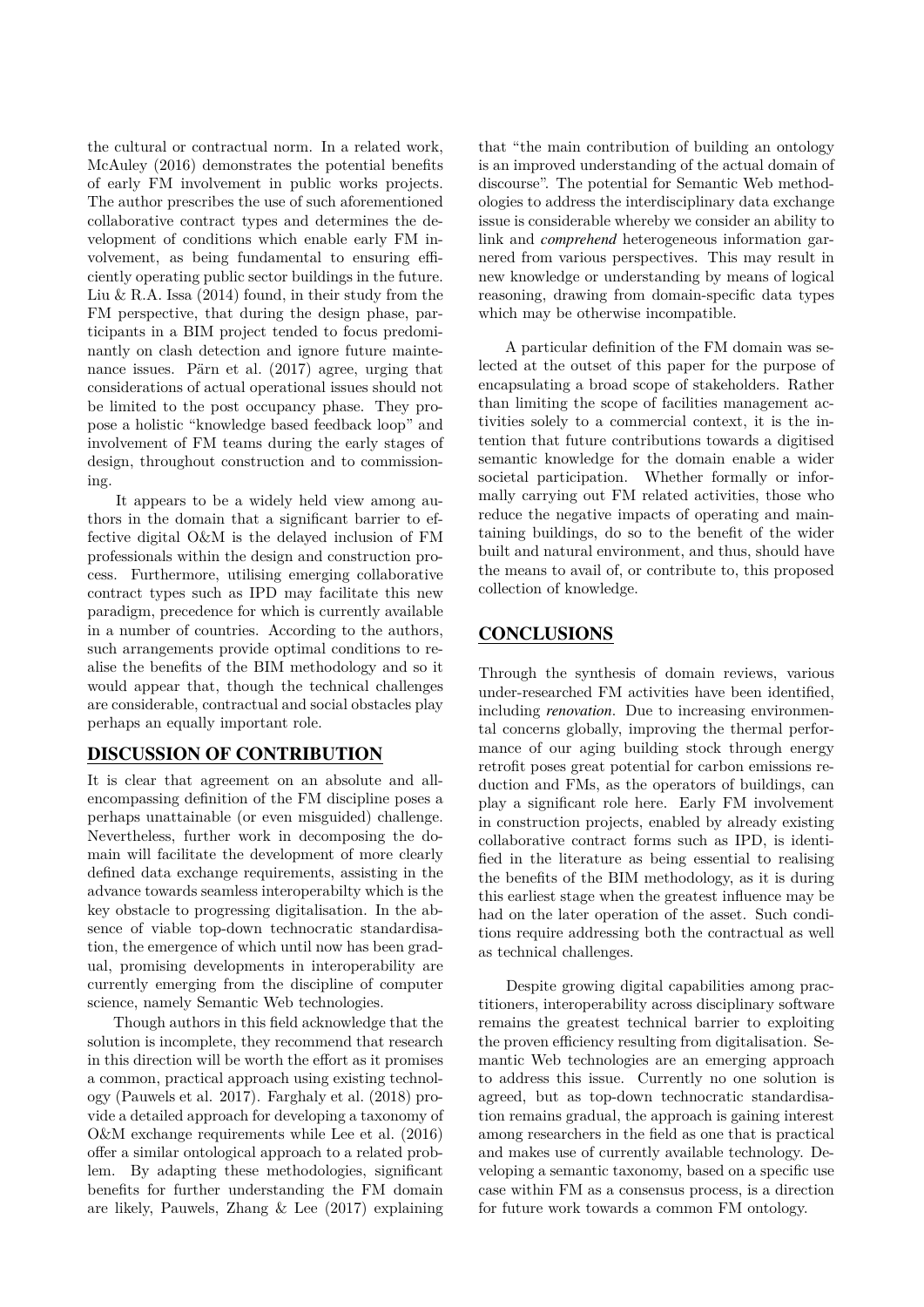the cultural or contractual norm. In a related work, McAuley (2016) demonstrates the potential benefits of early FM involvement in public works projects. The author prescribes the use of such aforementioned collaborative contract types and determines the development of conditions which enable early FM involvement, as being fundamental to ensuring efficiently operating public sector buildings in the future. Liu & R.A. Issa  $(2014)$  found, in their study from the FM perspective, that during the design phase, participants in a BIM project tended to focus predominantly on clash detection and ignore future maintenance issues. Pärn et al. (2017) agree, urging that considerations of actual operational issues should not be limited to the post occupancy phase. They propose a holistic "knowledge based feedback loop" and involvement of FM teams during the early stages of design, throughout construction and to commissioning.

It appears to be a widely held view among authors in the domain that a significant barrier to effective digital O&M is the delayed inclusion of FM professionals within the design and construction process. Furthermore, utilising emerging collaborative contract types such as IPD may facilitate this new paradigm, precedence for which is currently available in a number of countries. According to the authors, such arrangements provide optimal conditions to realise the benefits of the BIM methodology and so it would appear that, though the technical challenges are considerable, contractual and social obstacles play perhaps an equally important role.

## **DISCUSSION OF CONTRIBUTION**

It is clear that agreement on an absolute and allencompassing definition of the FM discipline poses a perhaps unattainable (or even misguided) challenge. Nevertheless, further work in decomposing the domain will facilitate the development of more clearly defined data exchange requirements, assisting in the advance towards seamless interoperabilty which is the key obstacle to progressing digitalisation. In the absence of viable top-down technocratic standardisation, the emergence of which until now has been gradual, promising developments in interoperability are currently emerging from the discipline of computer science, namely Semantic Web technologies.

Though authors in this field acknowledge that the solution is incomplete, they recommend that research in this direction will be worth the effort as it promises a common, practical approach using existing technology (Pauwels et al. 2017). Farghaly et al. (2018) provide a detailed approach for developing a taxonomy of O&M exchange requirements while Lee et al. (2016) offer a similar ontological approach to a related problem. By adapting these methodologies, significant benefits for further understanding the FM domain are likely, Pauwels, Zhang & Lee (2017) explaining that "the main contribution of building an ontology is an improved understanding of the actual domain of discourse". The potential for Semantic Web methodologies to address the interdisciplinary data exchange issue is considerable whereby we consider an ability to link and *comprehend* heterogeneous information garnered from various perspectives. This may result in new knowledge or understanding by means of logical reasoning, drawing from domain-specific data types which may be otherwise incompatible.

A particular definition of the FM domain was selected at the outset of this paper for the purpose of encapsulating a broad scope of stakeholders. Rather than limiting the scope of facilities management activities solely to a commercial context, it is the intention that future contributions towards a digitised semantic knowledge for the domain enable a wider societal participation. Whether formally or informally carrying out FM related activities, those who reduce the negative impacts of operating and maintaining buildings, do so to the benefit of the wider built and natural environment, and thus, should have the means to avail of, or contribute to, this proposed collection of knowledge.

# **CONCLUSIONS**

Through the synthesis of domain reviews, various under-researched FM activities have been identified, including *renovation*. Due to increasing environmental concerns globally, improving the thermal performance of our aging building stock through energy retrofit poses great potential for carbon emissions reduction and FMs, as the operators of buildings, can play a significant role here. Early FM involvement in construction projects, enabled by already existing collaborative contract forms such as IPD, is identified in the literature as being essential to realising the benefits of the BIM methodology, as it is during this earliest stage when the greatest influence may be had on the later operation of the asset. Such conditions require addressing both the contractual as well as technical challenges.

Despite growing digital capabilities among practitioners, interoperability across disciplinary software remains the greatest technical barrier to exploiting the proven efficiency resulting from digitalisation. Semantic Web technologies are an emerging approach to address this issue. Currently no one solution is agreed, but as top-down technocratic standardisation remains gradual, the approach is gaining interest among researchers in the field as one that is practical and makes use of currently available technology. Developing a semantic taxonomy, based on a specific use case within FM as a consensus process, is a direction for future work towards a common FM ontology.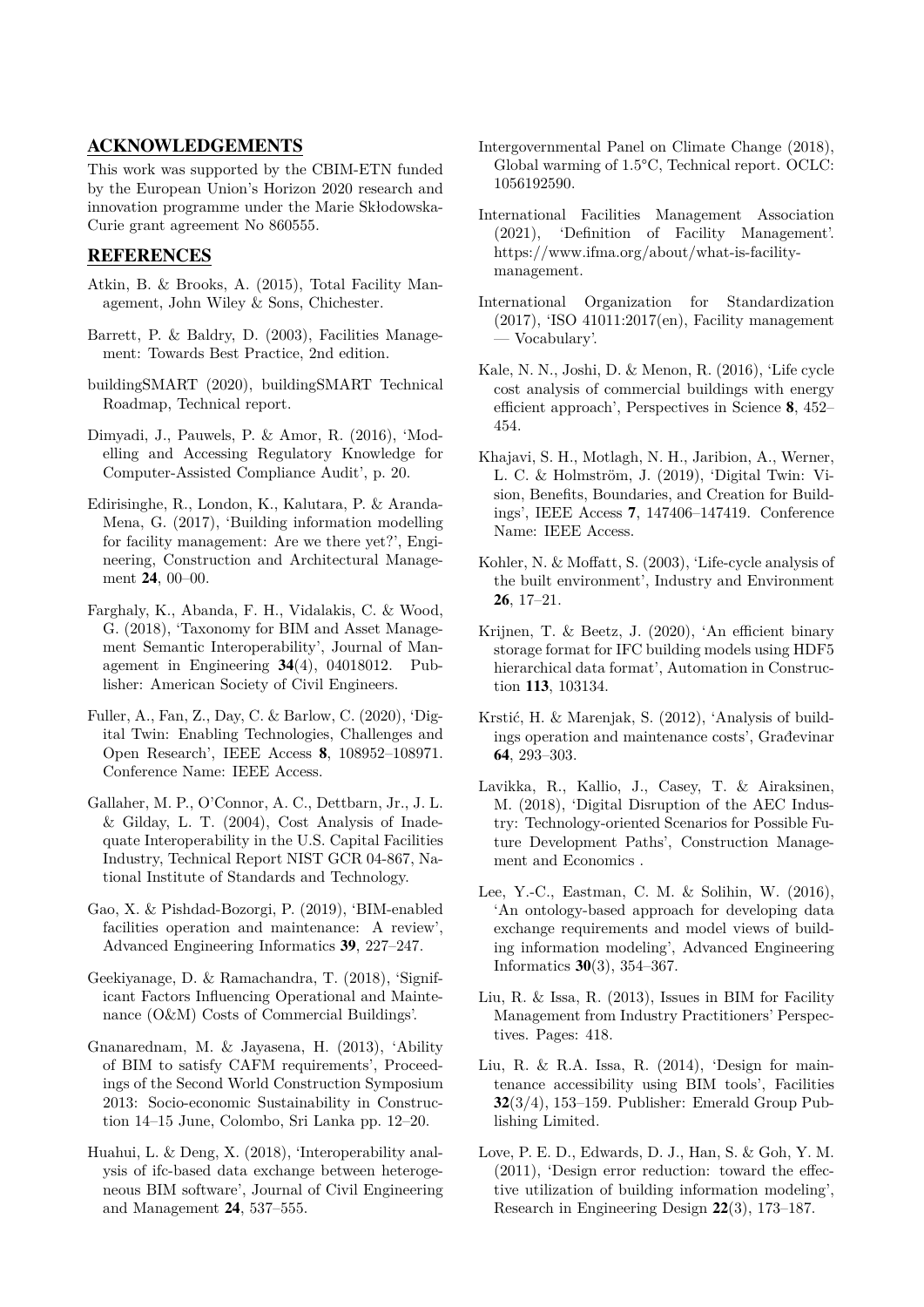## **ACKNOWLEDGEMENTS**

This work was supported by the CBIM-ETN funded by the European Union's Horizon 2020 research and innovation programme under the Marie Skłodowska-Curie grant agreement No 860555.

## **REFERENCES**

- Atkin, B. & Brooks, A. (2015), Total Facility Management, John Wiley & Sons, Chichester.
- Barrett, P. & Baldry, D. (2003), Facilities Management: Towards Best Practice, 2nd edition.
- buildingSMART (2020), buildingSMART Technical Roadmap, Technical report.
- Dimyadi, J., Pauwels, P. & Amor, R. (2016), 'Modelling and Accessing Regulatory Knowledge for Computer-Assisted Compliance Audit', p. 20.
- Edirisinghe, R., London, K., Kalutara, P. & Aranda-Mena, G. (2017), 'Building information modelling for facility management: Are we there yet?', Engineering, Construction and Architectural Management **24**, 00–00.
- Farghaly, K., Abanda, F. H., Vidalakis, C. & Wood, G. (2018), 'Taxonomy for BIM and Asset Management Semantic Interoperability', Journal of Management in Engineering **34**(4), 04018012. Publisher: American Society of Civil Engineers.
- Fuller, A., Fan, Z., Day, C. & Barlow, C. (2020), 'Digital Twin: Enabling Technologies, Challenges and Open Research', IEEE Access **8**, 108952–108971. Conference Name: IEEE Access.
- Gallaher, M. P., O'Connor, A. C., Dettbarn, Jr., J. L. & Gilday, L. T. (2004), Cost Analysis of Inadequate Interoperability in the U.S. Capital Facilities Industry, Technical Report NIST GCR 04-867, National Institute of Standards and Technology.
- Gao, X. & Pishdad-Bozorgi, P. (2019), 'BIM-enabled facilities operation and maintenance: A review', Advanced Engineering Informatics **39**, 227–247.
- Geekiyanage, D. & Ramachandra, T. (2018), 'Significant Factors Influencing Operational and Maintenance (O&M) Costs of Commercial Buildings'.
- Gnanarednam, M. & Jayasena, H. (2013), 'Ability of BIM to satisfy CAFM requirements', Proceedings of the Second World Construction Symposium 2013: Socio-economic Sustainability in Construction 14–15 June, Colombo, Sri Lanka pp. 12–20.
- Huahui, L. & Deng, X. (2018), 'Interoperability analysis of ifc-based data exchange between heterogeneous BIM software', Journal of Civil Engineering and Management **24**, 537–555.
- Intergovernmental Panel on Climate Change (2018), Global warming of 1.5°C, Technical report. OCLC: 1056192590.
- International Facilities Management Association (2021), 'Definition of Facility Management'. https://www.ifma.org/about/what-is-facilitymanagement.
- International Organization for Standardization (2017), 'ISO 41011:2017(en), Facility management — Vocabulary'.
- Kale, N. N., Joshi, D. & Menon, R. (2016), 'Life cycle cost analysis of commercial buildings with energy efficient approach', Perspectives in Science **8**, 452– 454.
- Khajavi, S. H., Motlagh, N. H., Jaribion, A., Werner, L. C. & Holmström, J. (2019), 'Digital Twin: Vision, Benefits, Boundaries, and Creation for Buildings', IEEE Access **7**, 147406–147419. Conference Name: IEEE Access.
- Kohler, N. & Moffatt, S. (2003), 'Life-cycle analysis of the built environment', Industry and Environment **26**, 17–21.
- Krijnen, T. & Beetz, J. (2020), 'An efficient binary storage format for IFC building models using HDF5 hierarchical data format', Automation in Construction **113**, 103134.
- Krstić, H. & Marenjak, S. (2012), 'Analysis of buildings operation and maintenance costs', Građevinar **64**, 293–303.
- Lavikka, R., Kallio, J., Casey, T. & Airaksinen, M. (2018), 'Digital Disruption of the AEC Industry: Technology-oriented Scenarios for Possible Future Development Paths', Construction Management and Economics .
- Lee, Y.-C., Eastman, C. M. & Solihin, W. (2016), 'An ontology-based approach for developing data exchange requirements and model views of building information modeling', Advanced Engineering Informatics **30**(3), 354–367.
- Liu, R. & Issa, R. (2013), Issues in BIM for Facility Management from Industry Practitioners' Perspectives. Pages: 418.
- Liu, R. & R.A. Issa, R. (2014), 'Design for maintenance accessibility using BIM tools', Facilities **32**(3/4), 153–159. Publisher: Emerald Group Publishing Limited.
- Love, P. E. D., Edwards, D. J., Han, S. & Goh, Y. M. (2011), 'Design error reduction: toward the effective utilization of building information modeling', Research in Engineering Design **22**(3), 173–187.